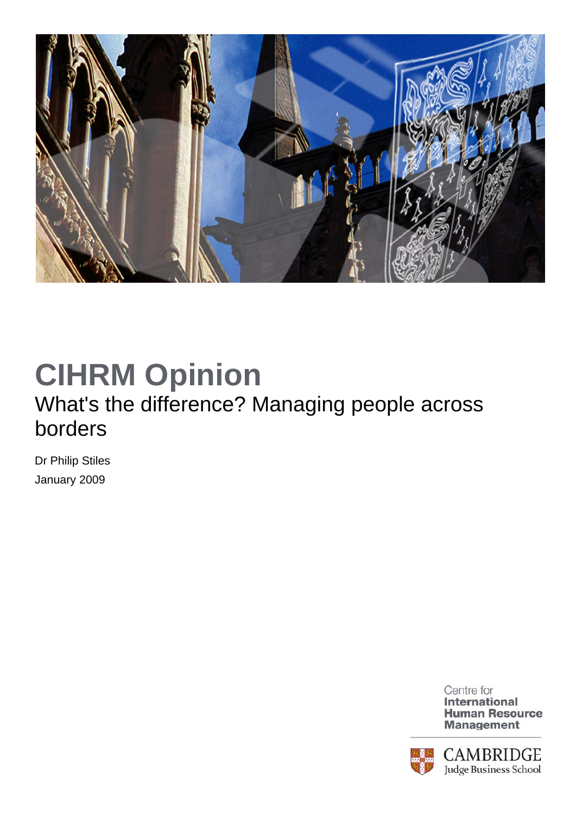

## **CIHRM Opinion**

## What's the difference? Managing people across borders

Dr Philip Stiles January 2009



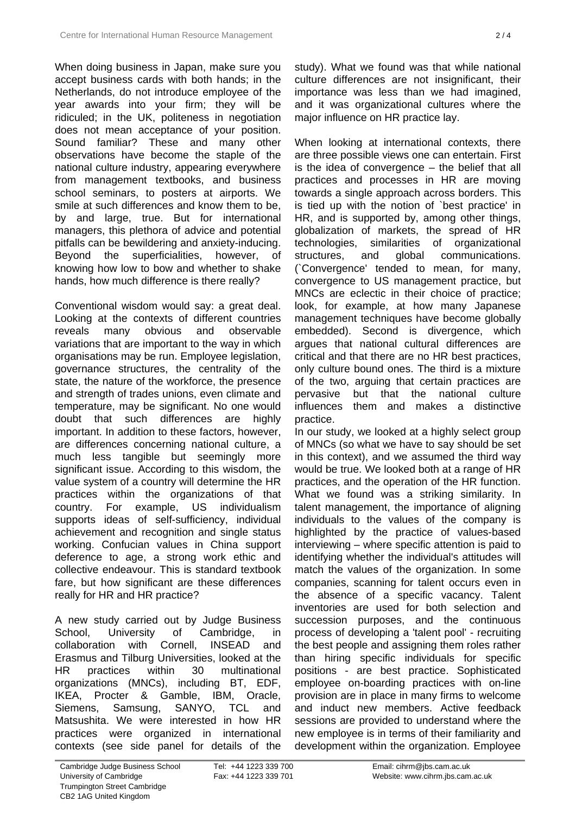When doing business in Japan, make sure you accept business cards with both hands; in the Netherlands, do not introduce employee of the year awards into your firm; they will be ridiculed; in the UK, politeness in negotiation does not mean acceptance of your position. Sound familiar? These and many other observations have become the staple of the national culture industry, appearing everywhere from management textbooks, and business school seminars, to posters at airports. We smile at such differences and know them to be, by and large, true. But for international managers, this plethora of advice and potential pitfalls can be bewildering and anxiety-inducing. Beyond the superficialities, however, of knowing how low to bow and whether to shake hands, how much difference is there really?

Conventional wisdom would say: a great deal. Looking at the contexts of different countries reveals many obvious and observable variations that are important to the way in which organisations may be run. Employee legislation, governance structures, the centrality of the state, the nature of the workforce, the presence and strength of trades unions, even climate and temperature, may be significant. No one would doubt that such differences are highly important. In addition to these factors, however, are differences concerning national culture, a much less tangible but seemingly more significant issue. According to this wisdom, the value system of a country will determine the HR practices within the organizations of that country. For example, US individualism supports ideas of self-sufficiency, individual achievement and recognition and single status working. Confucian values in China support deference to age, a strong work ethic and collective endeavour. This is standard textbook fare, but how significant are these differences really for HR and HR practice?

A new study carried out by Judge Business School, University of Cambridge, in collaboration with Cornell, INSEAD and Erasmus and Tilburg Universities, looked at the HR practices within 30 multinational organizations (MNCs), including BT, EDF, IKEA, Procter & Gamble, IBM, Oracle, Siemens, Samsung, SANYO, TCL and Matsushita. We were interested in how HR practices were organized in international contexts (see side panel for details of the

study). What we found was that while national culture differences are not insignificant, their importance was less than we had imagined, and it was organizational cultures where the major influence on HR practice lay.

When looking at international contexts, there are three possible views one can entertain. First is the idea of convergence – the belief that all practices and processes in HR are moving towards a single approach across borders. This is tied up with the notion of `best practice' in HR, and is supported by, among other things, globalization of markets, the spread of HR technologies, similarities of organizational structures, and global communications. (`Convergence' tended to mean, for many, convergence to US management practice, but MNCs are eclectic in their choice of practice; look, for example, at how many Japanese management techniques have become globally embedded). Second is divergence, which argues that national cultural differences are critical and that there are no HR best practices, only culture bound ones. The third is a mixture of the two, arguing that certain practices are pervasive but that the national culture influences them and makes a distinctive practice.

In our study, we looked at a highly select group of MNCs (so what we have to say should be set in this context), and we assumed the third way would be true. We looked both at a range of HR practices, and the operation of the HR function. What we found was a striking similarity. In talent management, the importance of aligning individuals to the values of the company is highlighted by the practice of values-based interviewing – where specific attention is paid to identifying whether the individual's attitudes will match the values of the organization. In some companies, scanning for talent occurs even in the absence of a specific vacancy. Talent inventories are used for both selection and succession purposes, and the continuous process of developing a 'talent pool' - recruiting the best people and assigning them roles rather than hiring specific individuals for specific positions - are best practice. Sophisticated employee on-boarding practices with on-line provision are in place in many firms to welcome and induct new members. Active feedback sessions are provided to understand where the new employee is in terms of their familiarity and development within the organization. Employee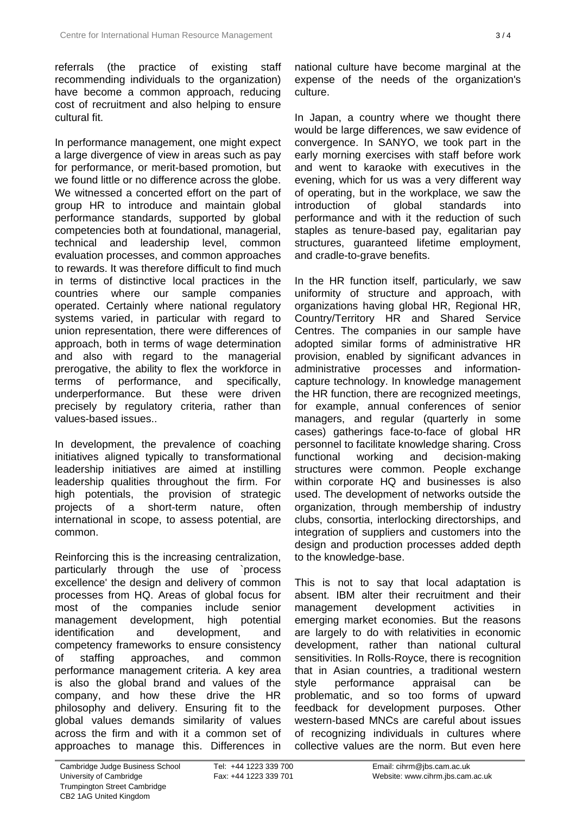referrals (the practice of existing staff recommending individuals to the organization) have become a common approach, reducing cost of recruitment and also helping to ensure cultural fit.

In performance management, one might expect a large divergence of view in areas such as pay for performance, or merit-based promotion, but we found little or no difference across the globe. We witnessed a concerted effort on the part of group HR to introduce and maintain global performance standards, supported by global competencies both at foundational, managerial, technical and leadership level, common evaluation processes, and common approaches to rewards. It was therefore difficult to find much in terms of distinctive local practices in the countries where our sample companies operated. Certainly where national regulatory systems varied, in particular with regard to union representation, there were differences of approach, both in terms of wage determination and also with regard to the managerial prerogative, the ability to flex the workforce in terms of performance, and specifically, underperformance. But these were driven precisely by regulatory criteria, rather than values-based issues..

In development, the prevalence of coaching initiatives aligned typically to transformational leadership initiatives are aimed at instilling leadership qualities throughout the firm. For high potentials, the provision of strategic projects of a short-term nature, often international in scope, to assess potential, are common.

Reinforcing this is the increasing centralization, particularly through the use of `process excellence' the design and delivery of common processes from HQ. Areas of global focus for most of the companies include senior management development, high potential identification and development, and competency frameworks to ensure consistency of staffing approaches, and common performance management criteria. A key area is also the global brand and values of the company, and how these drive the HR philosophy and delivery. Ensuring fit to the global values demands similarity of values across the firm and with it a common set of approaches to manage this. Differences in

national culture have become marginal at the expense of the needs of the organization's culture.

In Japan, a country where we thought there would be large differences, we saw evidence of convergence. In SANYO, we took part in the early morning exercises with staff before work and went to karaoke with executives in the evening, which for us was a very different way of operating, but in the workplace, we saw the introduction of global standards into performance and with it the reduction of such staples as tenure-based pay, egalitarian pay structures, guaranteed lifetime employment, and cradle-to-grave benefits.

In the HR function itself, particularly, we saw uniformity of structure and approach, with organizations having global HR, Regional HR, Country/Territory HR and Shared Service Centres. The companies in our sample have adopted similar forms of administrative HR provision, enabled by significant advances in administrative processes and informationcapture technology. In knowledge management the HR function, there are recognized meetings, for example, annual conferences of senior managers, and regular (quarterly in some cases) gatherings face-to-face of global HR personnel to facilitate knowledge sharing. Cross functional working and decision-making structures were common. People exchange within corporate HQ and businesses is also used. The development of networks outside the organization, through membership of industry clubs, consortia, interlocking directorships, and integration of suppliers and customers into the design and production processes added depth to the knowledge-base.

This is not to say that local adaptation is absent. IBM alter their recruitment and their management development activities in emerging market economies. But the reasons are largely to do with relativities in economic development, rather than national cultural sensitivities. In Rolls-Royce, there is recognition that in Asian countries, a traditional western style performance appraisal can be problematic, and so too forms of upward feedback for development purposes. Other western-based MNCs are careful about issues of recognizing individuals in cultures where collective values are the norm. But even here